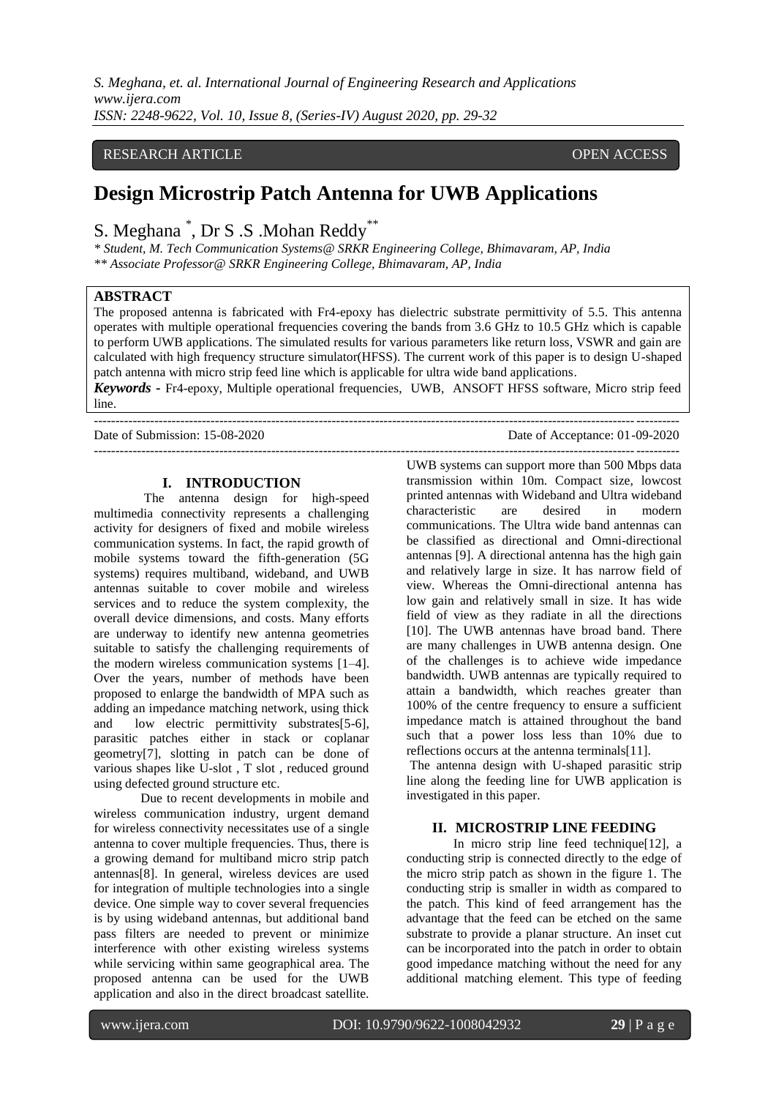*S. Meghana, et. al. International Journal of Engineering Research and Applications www.ijera.com ISSN: 2248-9622, Vol. 10, Issue 8, (Series-IV) August 2020, pp. 29-32*

### RESEARCH ARTICLE **CONSERVERS** OPEN ACCESS

# **Design Microstrip Patch Antenna for UWB Applications**

# S. Meghana<sup>\*</sup>, Dr S .S . Mohan Reddy<sup>\*\*</sup>

*\* Student, M. Tech Communication Systems@ SRKR Engineering College, Bhimavaram, AP, India \*\* Associate Professor@ SRKR Engineering College, Bhimavaram, AP, India*

### **ABSTRACT**

The proposed antenna is fabricated with Fr4-epoxy has dielectric substrate permittivity of 5.5. This antenna operates with multiple operational frequencies covering the bands from 3.6 GHz to 10.5 GHz which is capable to perform UWB applications. The simulated results for various parameters like return loss, VSWR and gain are calculated with high frequency structure simulator(HFSS). The current work of this paper is to design U-shaped patch antenna with micro strip feed line which is applicable for ultra wide band applications.

*Keywords* **-** Fr4-epoxy, Multiple operational frequencies, UWB, ANSOFT HFSS software, Micro strip feed line. ---------------------------------------------------------------------------------------------------------------------------------------

Date of Submission: 15-08-2020 Date of Acceptance: 01-09-2020

#### **I. INTRODUCTION**

The antenna design for high-speed multimedia connectivity represents a challenging activity for designers of fixed and mobile wireless communication systems. In fact, the rapid growth of mobile systems toward the fifth-generation (5G systems) requires multiband, wideband, and UWB antennas suitable to cover mobile and wireless services and to reduce the system complexity, the overall device dimensions, and costs. Many efforts are underway to identify new antenna geometries suitable to satisfy the challenging requirements of the modern wireless communication systems [1–4]. Over the years, number of methods have been proposed to enlarge the bandwidth of MPA such as adding an impedance matching network, using thick and low electric permittivity substrates[5-6], parasitic patches either in stack or coplanar geometry[7], slotting in patch can be done of various shapes like U-slot , T slot , reduced ground using defected ground structure etc.

Due to recent developments in mobile and wireless communication industry, urgent demand for wireless connectivity necessitates use of a single antenna to cover multiple frequencies. Thus, there is a growing demand for multiband micro strip patch antennas[8]. In general, wireless devices are used for integration of multiple technologies into a single device. One simple way to cover several frequencies is by using wideband antennas, but additional band pass filters are needed to prevent or minimize interference with other existing wireless systems while servicing within same geographical area. The proposed antenna can be used for the UWB application and also in the direct broadcast satellite.

UWB systems can support more than 500 Mbps data transmission within 10m. Compact size, lowcost printed antennas with Wideband and Ultra wideband characteristic are desired in modern communications. The Ultra wide band antennas can be classified as directional and Omni-directional antennas [9]. A directional antenna has the high gain and relatively large in size. It has narrow field of view. Whereas the Omni-directional antenna has low gain and relatively small in size. It has wide field of view as they radiate in all the directions [10]. The UWB antennas have broad band. There are many challenges in UWB antenna design. One of the challenges is to achieve wide impedance bandwidth. UWB antennas are typically required to attain a bandwidth, which reaches greater than 100% of the centre frequency to ensure a sufficient impedance match is attained throughout the band such that a power loss less than 10% due to reflections occurs at the antenna terminals[11].

---------------------------------------------------------------------------------------------------------------------------------------

The antenna design with U-shaped parasitic strip line along the feeding line for UWB application is investigated in this paper.

#### **II. MICROSTRIP LINE FEEDING**

In micro strip line feed technique[12], a conducting strip is connected directly to the edge of the micro strip patch as shown in the figure 1. The conducting strip is smaller in width as compared to the patch. This kind of feed arrangement has the advantage that the feed can be etched on the same substrate to provide a planar structure. An inset cut can be incorporated into the patch in order to obtain good impedance matching without the need for any additional matching element. This type of feeding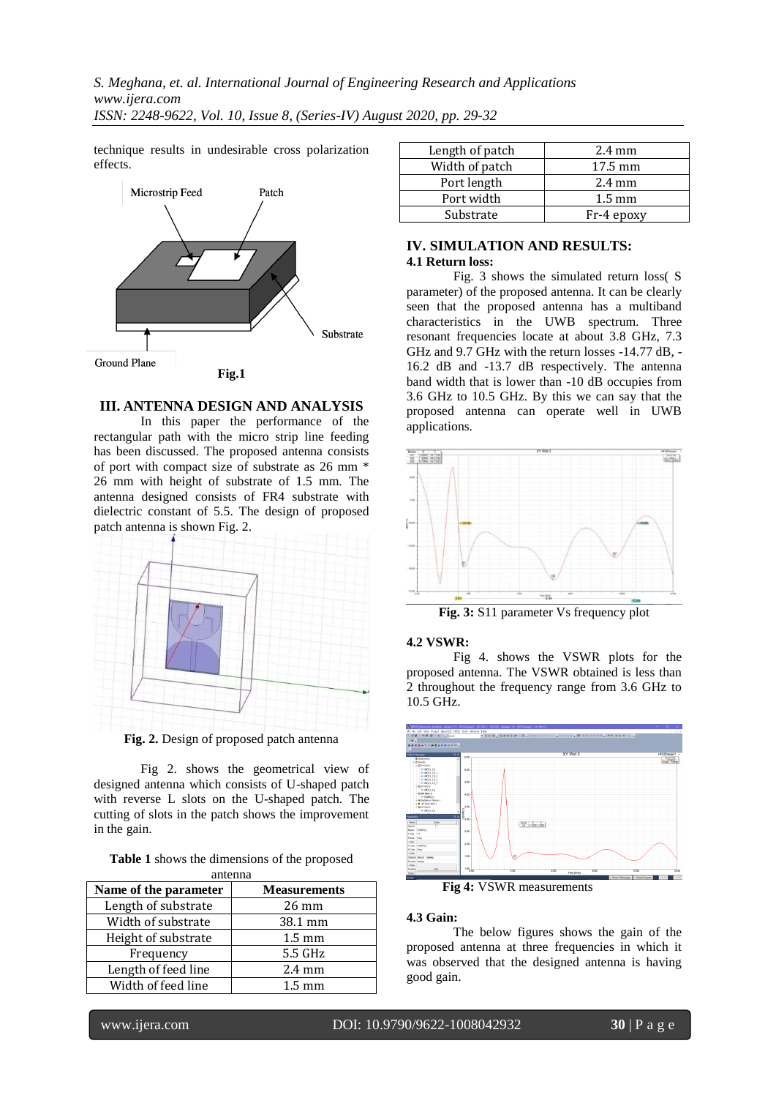technique results in undesirable cross polarization effects.



#### **III. ANTENNA DESIGN AND ANALYSIS**

In this paper the performance of the rectangular path with the micro strip line feeding has been discussed. The proposed antenna consists of port with compact size of substrate as 26 mm \* 26 mm with height of substrate of 1.5 mm. The antenna designed consists of FR4 substrate with dielectric constant of 5.5. The design of proposed patch antenna is shown Fig. 2.



**Fig. 2.** Design of proposed patch antenna

Fig 2. shows the geometrical view of designed antenna which consists of U-shaped patch with reverse L slots on the U-shaped patch. The cutting of slots in the patch shows the improvement in the gain.

|  | <b>Table 1</b> shows the dimensions of the proposed |  |
|--|-----------------------------------------------------|--|
|  | antenna                                             |  |

| Name of the parameter | <b>Measurements</b> |
|-----------------------|---------------------|
| Length of substrate   | $26 \text{ mm}$     |
| Width of substrate    | 38.1 mm             |
| Height of substrate   | $1.5 \text{ mm}$    |
| Frequency             | 5.5 GHz             |
| Length of feed line   | $2.4 \text{ mm}$    |
| Width of feed line    | $1.5 \text{ mm}$    |

| Length of patch | $2.4 \text{ mm}$  |
|-----------------|-------------------|
| Width of patch  | $17.5 \text{ mm}$ |
| Port length     | $2.4 \text{ mm}$  |
| Port width      | $1.5 \text{ mm}$  |
| Substrate       | Fr-4 epoxy        |

#### **IV. SIMULATION AND RESULTS: 4.1 Return loss:**

Fig. 3 shows the simulated return loss( S parameter) of the proposed antenna. It can be clearly seen that the proposed antenna has a multiband characteristics in the UWB spectrum. Three resonant frequencies locate at about 3.8 GHz, 7.3 GHz and 9.7 GHz with the return losses -14.77 dB, - 16.2 dB and -13.7 dB respectively. The antenna band width that is lower than -10 dB occupies from 3.6 GHz to 10.5 GHz. By this we can say that the proposed antenna can operate well in UWB applications.



## **4.2 VSWR:**

Fig 4. shows the VSWR plots for the proposed antenna. The VSWR obtained is less than 2 throughout the frequency range from 3.6 GHz to 10.5 GHz.



**Fig 4:** VSWR measurements

#### **4.3 Gain:**

The below figures shows the gain of the proposed antenna at three frequencies in which it was observed that the designed antenna is having good gain.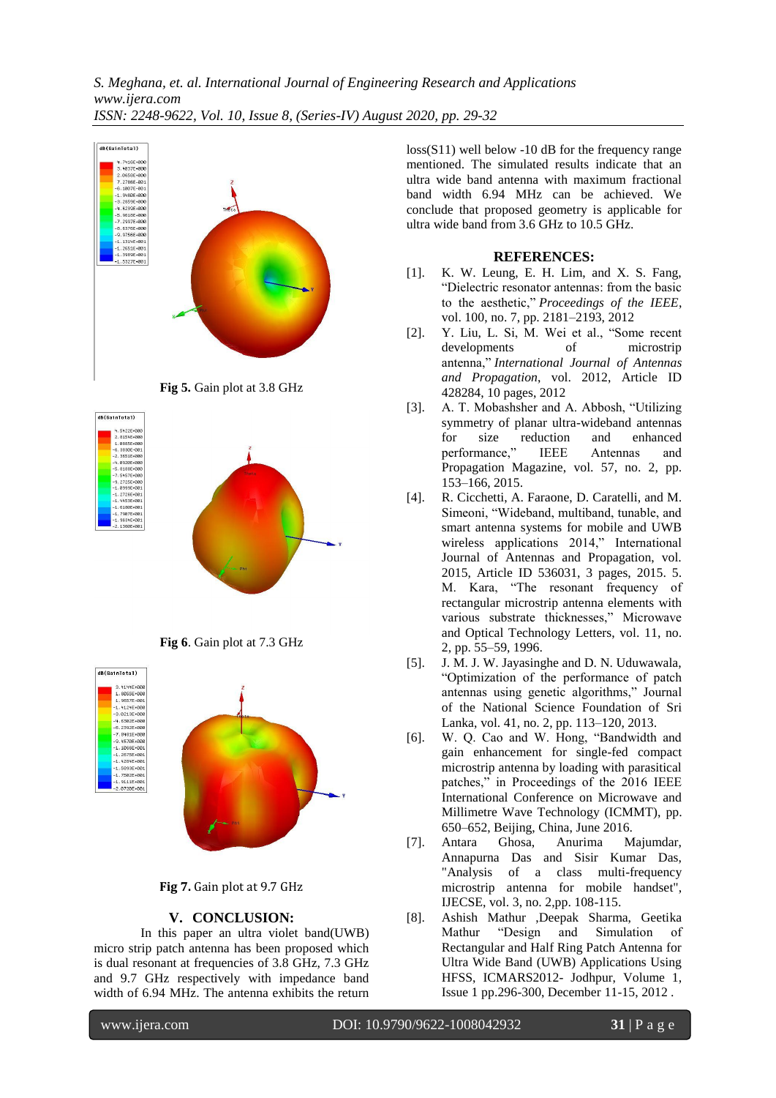*S. Meghana, et. al. International Journal of Engineering Research and Applications www.ijera.com ISSN: 2248-9622, Vol. 10, Issue 8, (Series-IV) August 2020, pp. 29-32*







**Fig 7.** Gain plot at 9.7 GHz

### **V. CONCLUSION:**

In this paper an ultra violet band(UWB) micro strip patch antenna has been proposed which is dual resonant at frequencies of 3.8 GHz, 7.3 GHz and 9.7 GHz respectively with impedance band width of 6.94 MHz. The antenna exhibits the return

loss(S11) well below -10 dB for the frequency range mentioned. The simulated results indicate that an ultra wide band antenna with maximum fractional band width 6.94 MHz can be achieved. We conclude that proposed geometry is applicable for ultra wide band from 3.6 GHz to 10.5 GHz.

#### **REFERENCES:**

- [1]. K. W. Leung, E. H. Lim, and X. S. Fang, "Dielectric resonator antennas: from the basic to the aesthetic," *Proceedings of the IEEE*, vol. 100, no. 7, pp. 2181–2193, 2012
- [2]. Y. Liu, L. Si, M. Wei et al., "Some recent developments of microstrip antenna," *International Journal of Antennas and Propagation*, vol. 2012, Article ID 428284, 10 pages, 2012
- [3]. A. T. Mobashsher and A. Abbosh, "Utilizing symmetry of planar ultra-wideband antennas for size reduction and enhanced performance," IEEE Antennas and Propagation Magazine, vol. 57, no. 2, pp. 153–166, 2015.
- [4]. R. Cicchetti, A. Faraone, D. Caratelli, and M. Simeoni, "Wideband, multiband, tunable, and smart antenna systems for mobile and UWB wireless applications 2014," International Journal of Antennas and Propagation, vol. 2015, Article ID 536031, 3 pages, 2015. 5. M. Kara, "The resonant frequency of rectangular microstrip antenna elements with various substrate thicknesses," Microwave and Optical Technology Letters, vol. 11, no. 2, pp. 55–59, 1996.
- [5]. J. M. J. W. Jayasinghe and D. N. Uduwawala, "Optimization of the performance of patch antennas using genetic algorithms," Journal of the National Science Foundation of Sri Lanka, vol. 41, no. 2, pp. 113–120, 2013.
- [6]. W. Q. Cao and W. Hong, "Bandwidth and gain enhancement for single-fed compact microstrip antenna by loading with parasitical patches," in Proceedings of the 2016 IEEE International Conference on Microwave and Millimetre Wave Technology (ICMMT), pp. 650–652, Beijing, China, June 2016.
- [7]. Antara Ghosa, Anurima Majumdar, Annapurna Das and Sisir Kumar Das, "Analysis of a class multi-frequency microstrip antenna for mobile handset", IJECSE, vol. 3, no. 2,pp. 108-115.
- [8]. Ashish Mathur ,Deepak Sharma, Geetika Mathur "Design and Simulation of Rectangular and Half Ring Patch Antenna for Ultra Wide Band (UWB) Applications Using HFSS, ICMARS2012- Jodhpur, Volume 1, Issue 1 pp.296-300, December 11-15, 2012 .